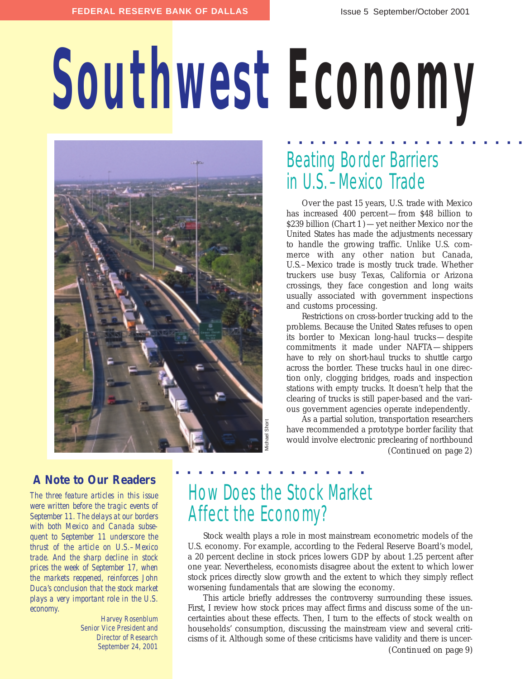# **Southwest Economy**



## Beating Border Barriers in U.S.–Mexico Trade **. . . . . . . . . . . . . . . . . . . . .**

Over the past 15 years, U.S. trade with Mexico has increased 400 percent—from \$48 billion to \$239 billion (*Chart 1*)—yet neither Mexico nor the United States has made the adjustments necessary to handle the growing traffic. Unlike U.S. commerce with any other nation but Canada, U.S.–Mexico trade is mostly truck trade. Whether truckers use busy Texas, California or Arizona crossings, they face congestion and long waits usually associated with government inspections and customs processing.

Restrictions on cross-border trucking add to the problems. Because the United States refuses to open its border to Mexican long-haul trucks—despite commitments it made under NAFTA—shippers have to rely on short-haul trucks to shuttle cargo across the border. These trucks haul in one direction only, clogging bridges, roads and inspection stations with empty trucks. It doesn't help that the clearing of trucks is still paper-based and the various government agencies operate independently.

As a partial solution, transportation researchers have recommended a prototype border facility that would involve electronic preclearing of northbound *(Continued on page 2)*

### **A Note to Our Readers**

*The three feature articles in this issue were written before the tragic events of September 11. The delays at our borders with both Mexico and Canada subsequent to September 11 underscore the thrust of the article on U.S.–Mexico trade. And the sharp decline in stock prices the week of September 17, when the markets reopened, reinforces John Duca's conclusion that the stock market plays a very important role in the U.S. economy.* 

> Harvey Rosenblum Senior Vice President and Director of Research September 24, 2001

## How Does the Stock Market Affect the Economy?

Stock wealth plays a role in most mainstream econometric models of the U.S. economy. For example, according to the Federal Reserve Board's model, a 20 percent decline in stock prices lowers GDP by about 1.25 percent after one year. Nevertheless, economists disagree about the extent to which lower stock prices directly slow growth and the extent to which they simply reflect worsening fundamentals that are slowing the economy.

This article briefly addresses the controversy surrounding these issues. First, I review how stock prices may affect firms and discuss some of the uncertainties about these effects. Then, I turn to the effects of stock wealth on households' consumption, discussing the mainstream view and several criticisms of it. Although some of these criticisms have validity and there is uncer-

*(Continued on page 9)*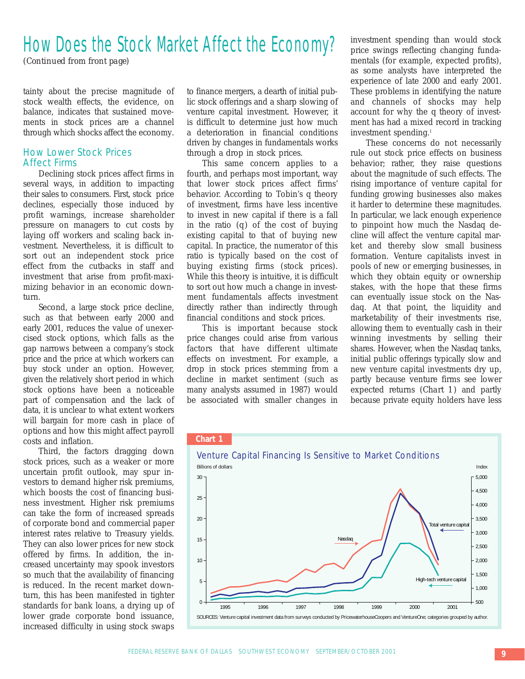## How Does the Stock Market Affect the Economy?

*(Continued from front page)*

tainty about the precise magnitude of stock wealth effects, the evidence, on balance, indicates that sustained movements in stock prices are a channel through which shocks affect the economy.

#### How Lower Stock Prices Affect Firms

Declining stock prices affect firms in several ways, in addition to impacting their sales to consumers. First, stock price declines, especially those induced by profit warnings, increase shareholder pressure on managers to cut costs by laying off workers and scaling back investment. Nevertheless, it is difficult to sort out an independent stock price effect from the cutbacks in staff and investment that arise from profit-maximizing behavior in an economic downturn.

Second, a large stock price decline, such as that between early 2000 and early 2001, reduces the value of unexercised stock options, which falls as the gap narrows between a company's stock price and the price at which workers can buy stock under an option. However, given the relatively short period in which stock options have been a noticeable part of compensation and the lack of data, it is unclear to what extent workers will bargain for more cash in place of options and how this might affect payroll costs and inflation.

Third, the factors dragging down stock prices, such as a weaker or more uncertain profit outlook, may spur investors to demand higher risk premiums, which boosts the cost of financing business investment. Higher risk premiums can take the form of increased spreads of corporate bond and commercial paper interest rates relative to Treasury yields. They can also lower prices for new stock offered by firms. In addition, the increased uncertainty may spook investors so much that the availability of financing is reduced. In the recent market downturn, this has been manifested in tighter standards for bank loans, a drying up of lower grade corporate bond issuance, increased difficulty in using stock swaps

to finance mergers, a dearth of initial public stock offerings and a sharp slowing of venture capital investment. However, it is difficult to determine just how much a deterioration in financial conditions driven by changes in fundamentals works through a drop in stock prices.

This same concern applies to a fourth, and perhaps most important, way that lower stock prices affect firms' behavior. According to Tobin's *q* theory of investment, firms have less incentive to invest in new capital if there is a fall in the ratio (*q*) of the cost of buying existing capital to that of buying new capital. In practice, the numerator of this ratio is typically based on the cost of buying existing firms (stock prices). While this theory is intuitive, it is difficult to sort out how much a change in investment fundamentals affects investment directly rather than indirectly through financial conditions and stock prices.

This is important because stock price changes could arise from various factors that have different ultimate effects on investment. For example, a drop in stock prices stemming from a decline in market sentiment (such as many analysts assumed in 1987) would be associated with smaller changes in

investment spending than would stock price swings reflecting changing fundamentals (for example, expected profits), as some analysts have interpreted the experience of late 2000 and early 2001. These problems in identifying the nature and channels of shocks may help account for why the *q* theory of investment has had a mixed record in tracking investment spending.1

These concerns do not necessarily rule out stock price effects on business behavior; rather, they raise questions about the magnitude of such effects. The rising importance of venture capital for funding growing businesses also makes it harder to determine these magnitudes. In particular, we lack enough experience to pinpoint how much the Nasdaq decline will affect the venture capital market and thereby slow small business formation. Venture capitalists invest in pools of new or emerging businesses, in which they obtain equity or ownership stakes, with the hope that these firms can eventually issue stock on the Nasdaq. At that point, the liquidity and marketability of their investments rise, allowing them to eventually cash in their winning investments by selling their shares. However, when the Nasdaq tanks, initial public offerings typically slow and new venture capital investments dry up, partly because venture firms see lower expected returns (*Chart 1*) and partly because private equity holders have less



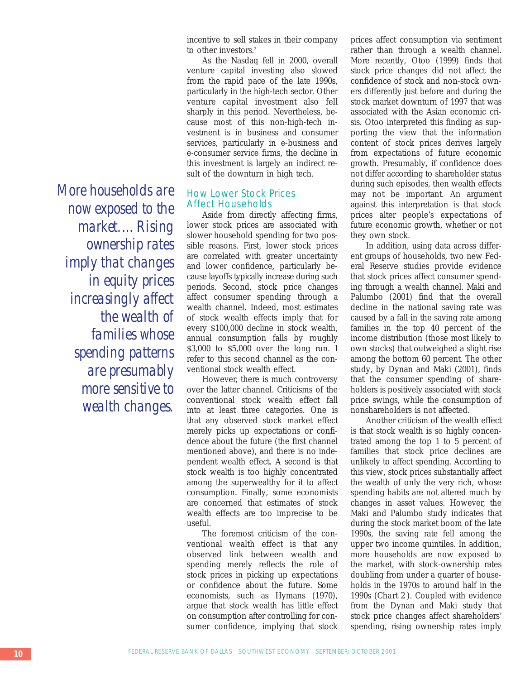*More households are now exposed to the market.…Rising ownership rates imply that changes in equity prices increasingly affect the wealth of families whose spending patterns are presumably more sensitive to wealth changes.*

incentive to sell stakes in their company to other investors.<sup>2</sup>

As the Nasdaq fell in 2000, overall venture capital investing also slowed from the rapid pace of the late 1990s, particularly in the high-tech sector. Other venture capital investment also fell sharply in this period. Nevertheless, because most of this non-high-tech investment is in business and consumer services, particularly in e-business and e-consumer service firms, the decline in this investment is largely an indirect result of the downturn in high tech.

#### How Lower Stock Prices Affect Households

Aside from directly affecting firms, lower stock prices are associated with slower household spending for two possible reasons. First, lower stock prices are correlated with greater uncertainty and lower confidence, particularly because layoffs typically increase during such periods. Second, stock price changes affect consumer spending through a wealth channel. Indeed, most estimates of stock wealth effects imply that for every \$100,000 decline in stock wealth, annual consumption falls by roughly \$3,000 to \$5,000 over the long run. I refer to this second channel as the conventional stock wealth effect.

However, there is much controversy over the latter channel. Criticisms of the conventional stock wealth effect fall into at least three categories. One is that any observed stock market effect merely picks up expectations or confidence about the future (the first channel mentioned above), and there is no independent wealth effect. A second is that stock wealth is too highly concentrated among the superwealthy for it to affect consumption. Finally, some economists are concerned that estimates of stock wealth effects are too imprecise to be useful.

The foremost criticism of the conventional wealth effect is that any observed link between wealth and spending merely reflects the role of stock prices in picking up expectations or confidence about the future. Some economists, such as Hymans (1970), argue that stock wealth has little effect on consumption after controlling for consumer confidence, implying that stock

prices affect consumption via sentiment rather than through a wealth channel. More recently, Otoo (1999) finds that stock price changes did not affect the confidence of stock and non-stock owners differently just before and during the stock market downturn of 1997 that was associated with the Asian economic crisis. Otoo interpreted this finding as supporting the view that the information content of stock prices derives largely from expectations of future economic growth. Presumably, if confidence does not differ according to shareholder status during such episodes, then wealth effects may not be important. An argument against this interpretation is that stock prices alter people's expectations of future economic growth, whether or not they own stock.

In addition, using data across different groups of households, two new Federal Reserve studies provide evidence that stock prices affect consumer spending through a wealth channel. Maki and Palumbo (2001) find that the overall decline in the national saving rate was caused by a fall in the saving rate among families in the top 40 percent of the income distribution (those most likely to own stocks) that outweighed a slight rise among the bottom 60 percent. The other study, by Dynan and Maki (2001), finds that the consumer spending of shareholders is positively associated with stock price swings, while the consumption of nonshareholders is not affected.

Another criticism of the wealth effect is that stock wealth is so highly concentrated among the top 1 to 5 percent of families that stock price declines are unlikely to affect spending. According to this view, stock prices substantially affect the wealth of only the very rich, whose spending habits are not altered much by changes in asset values. However, the Maki and Palumbo study indicates that during the stock market boom of the late 1990s, the saving rate fell among the upper two income quintiles. In addition, more households are now exposed to the market, with stock-ownership rates doubling from under a quarter of households in the 1970s to around half in the 1990s (*Chart 2* ). Coupled with evidence from the Dynan and Maki study that stock price changes affect shareholders' spending, rising ownership rates imply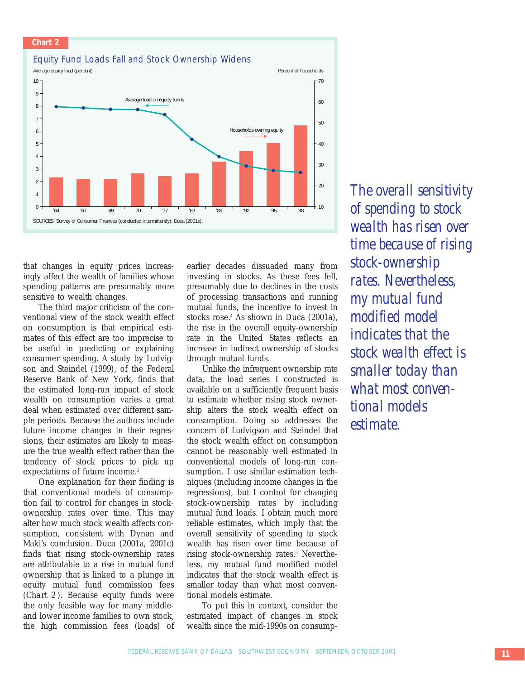#### **Chart 2**

#### Equity Fund Loads Fall and Stock Ownership Widens



that changes in equity prices increasingly affect the wealth of families whose spending patterns are presumably more sensitive to wealth changes.

The third major criticism of the conventional view of the stock wealth effect on consumption is that empirical estimates of this effect are too imprecise to be useful in predicting or explaining consumer spending. A study by Ludvigson and Steindel (1999), of the Federal Reserve Bank of New York, finds that the estimated long-run impact of stock wealth on consumption varies a great deal when estimated over different sample periods. Because the authors include future income changes in their regressions, their estimates are likely to measure the true wealth effect rather than the tendency of stock prices to pick up expectations of future income.<sup>3</sup>

One explanation for their finding is that conventional models of consumption fail to control for changes in stockownership rates over time. This may alter how much stock wealth affects consumption, consistent with Dynan and Maki's conclusion. Duca (2001a, 2001c) finds that rising stock-ownership rates are attributable to a rise in mutual fund ownership that is linked to a plunge in equity mutual fund commission fees (*Chart 2*). Because equity funds were the only feasible way for many middleand lower income families to own stock, the high commission fees (loads) of

earlier decades dissuaded many from investing in stocks. As these fees fell, presumably due to declines in the costs of processing transactions and running mutual funds, the incentive to invest in stocks rose.<sup>4</sup> As shown in Duca (2001a), the rise in the overall equity-ownership rate in the United States reflects an increase in indirect ownership of stocks through mutual funds.

Unlike the infrequent ownership rate data, the load series I constructed is available on a sufficiently frequent basis to estimate whether rising stock ownership alters the stock wealth effect on consumption. Doing so addresses the concern of Ludvigson and Steindel that the stock wealth effect on consumption cannot be reasonably well estimated in conventional models of long-run consumption. I use similar estimation techniques (including income changes in the regressions), but I control for changing stock-ownership rates by including mutual fund loads. I obtain much more reliable estimates, which imply that the overall sensitivity of spending to stock wealth has risen over time because of rising stock-ownership rates.<sup>5</sup> Nevertheless, my mutual fund modified model indicates that the stock wealth effect is smaller today than what most conventional models estimate.

To put this in context, consider the estimated impact of changes in stock wealth since the mid-1990s on consump-

*The overall sensitivity of spending to stock wealth has risen over time because of rising stock-ownership rates. Nevertheless, my mutual fund modified model indicates that the stock wealth effect is smaller today than what most conventional models estimate.*